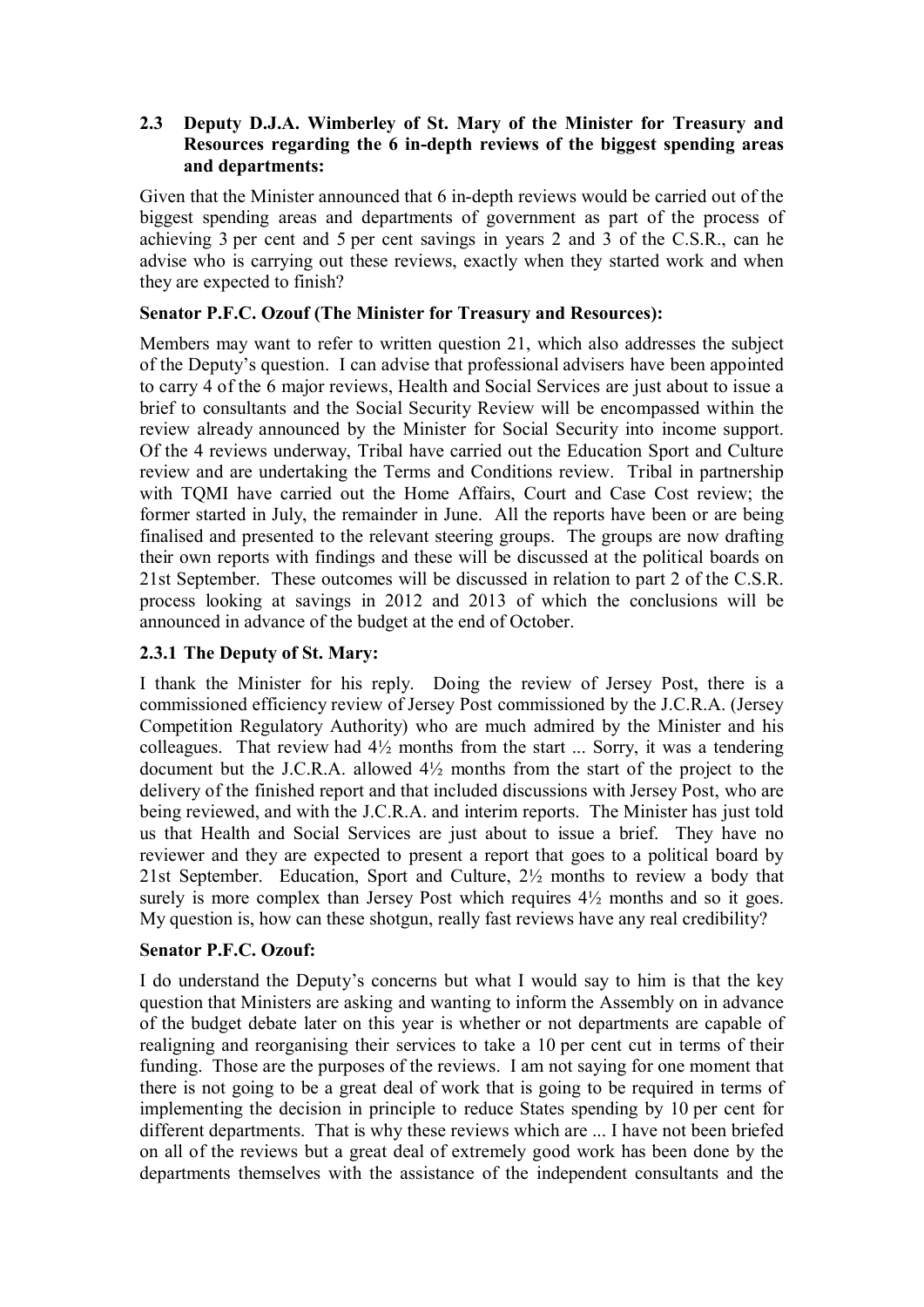## **2.3** � **Deputy D.J.A. Wimberley of St. Mary of the Minister for Treasury and Resources regarding the 6 in-depth reviews of the biggest spending areas and departments:**

Given that the Minister announced that 6 in-depth reviews would be carried out of the biggest spending areas and departments of government as part of the process of achieving 3 per cent and 5 per cent savings in years 2 and 3 of the C.S.R., can he advise who is carrying out these reviews, exactly when they started work and when they are expected to finish?

## **Senator P.F.C. Ozouf (The Minister for Treasury and Resources):**

Members may want to refer to written question 21, which also addresses the subject of the Deputy's question. I can advise that professional advisers have been appointed to carry 4 of the 6 major reviews, Health and Social Services are just about to issue a brief to consultants and the Social Security Review will be encompassed within the review already announced by the Minister for Social Security into income support. Of the 4 reviews underway, Tribal have carried out the Education Sport and Culture review and are undertaking the Terms and Conditions review. Tribal in partnership with TQMI have carried out the Home Affairs, Court and Case Cost review; the former started in July, the remainder in June. All the reports have been or are being finalised and presented to the relevant steering groups. The groups are now drafting their own reports with findings and these will be discussed at the political boards on 21st September. These outcomes will be discussed in relation to part 2 of the C.S.R. process looking at savings in 2012 and 2013 of which the conclusions will be announced in advance of the budget at the end of October.

## **2.3.1 The Deputy of St. Mary:**

I thank the Minister for his reply. Doing the review of Jersey Post, there is a commissioned efficiency review of Jersey Post commissioned by the J.C.R.A. (Jersey Competition Regulatory Authority) who are much admired by the Minister and his colleagues. That review had  $4\frac{1}{2}$  months from the start ... Sorry, it was a tendering document but the J.C.R.A. allowed 4½ months from the start of the project to the delivery of the finished report and that included discussions with Jersey Post, who are being reviewed, and with the J.C.R.A. and interim reports. The Minister has just told us that Health and Social Services are just about to issue a brief. They have no reviewer and they are expected to present a report that goes to a political board by 21st September. Education, Sport and Culture, 2½ months to review a body that surely is more complex than Jersey Post which requires  $4\frac{1}{2}$  months and so it goes. My question is, how can these shotgun, really fast reviews have any real credibility?

#### **Senator P.F.C. Ozouf:**

I do understand the Deputy's concerns but what I would say to him is that the key question that Ministers are asking and wanting to inform the Assembly on in advance of the budget debate later on this year is whether or not departments are capable of realigning and reorganising their services to take a 10 per cent cut in terms of their funding. Those are the purposes of the reviews. I am not saying for one moment that there is not going to be a great deal of work that is going to be required in terms of implementing the decision in principle to reduce States spending by 10 per cent for different departments. That is why these reviews which are ... I have not been briefed on all of the reviews but a great deal of extremely good work has been done by the departments themselves with the assistance of the independent consultants and the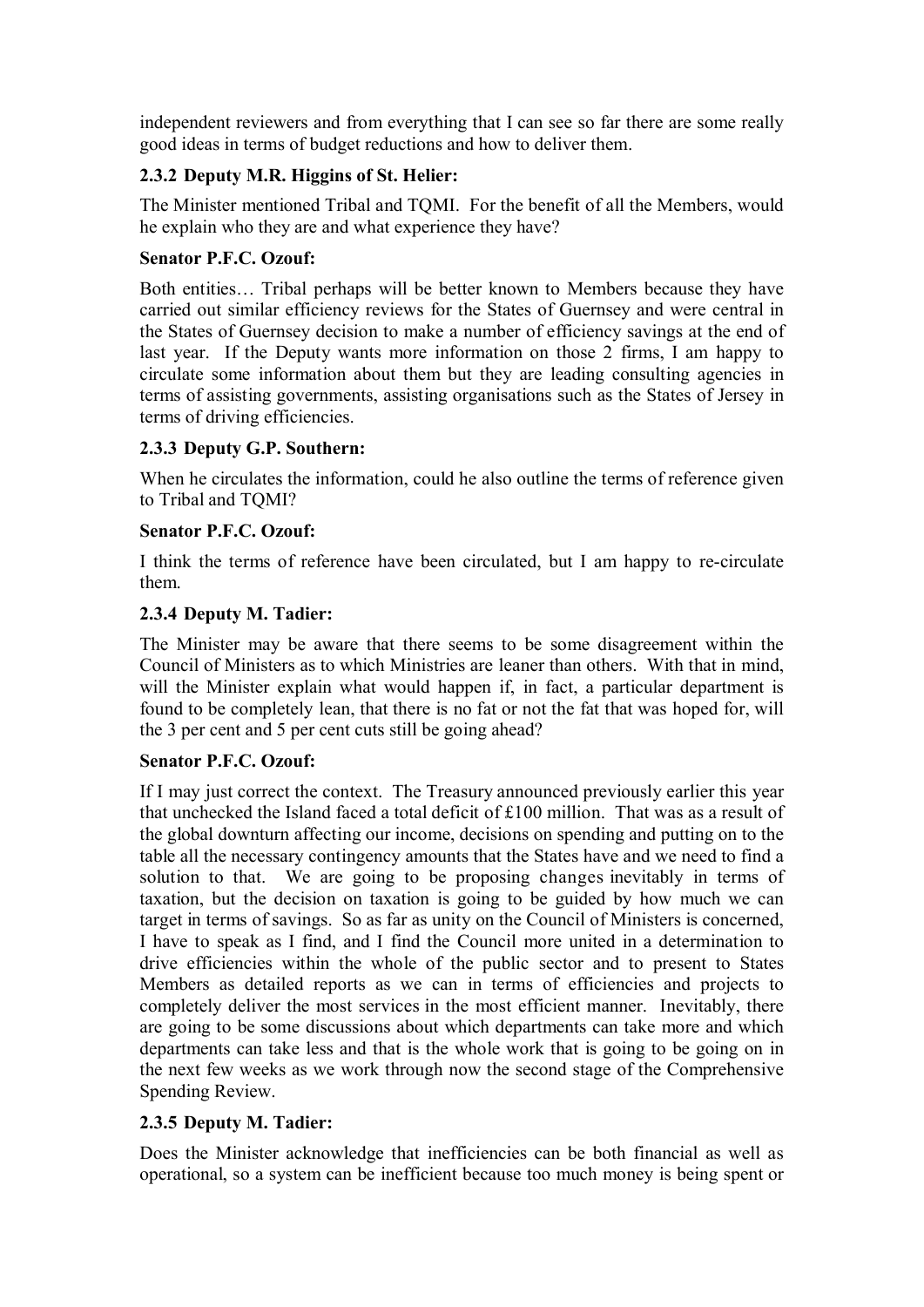independent reviewers and from everything that I can see so far there are some really good ideas in terms of budget reductions and how to deliver them.

# **2.3.2 Deputy M.R. Higgins of St. Helier:**

The Minister mentioned Tribal and TQMI. For the benefit of all the Members, would he explain who they are and what experience they have?

### **Senator P.F.C. Ozouf:**

Both entities… Tribal perhaps will be better known to Members because they have carried out similar efficiency reviews for the States of Guernsey and were central in the States of Guernsey decision to make a number of efficiency savings at the end of last year. If the Deputy wants more information on those 2 firms, I am happy to circulate some information about them but they are leading consulting agencies in terms of assisting governments, assisting organisations such as the States of Jersey in terms of driving efficiencies.

## **2.3.3 Deputy G.P. Southern:**

When he circulates the information, could he also outline the terms of reference given to Tribal and TQMI?

#### **Senator P.F.C. Ozouf:**

I think the terms of reference have been circulated, but I am happy to re-circulate them.

## **2.3.4 Deputy M. Tadier:**

The Minister may be aware that there seems to be some disagreement within the Council of Ministers as to which Ministries are leaner than others. With that in mind, will the Minister explain what would happen if, in fact, a particular department is found to be completely lean, that there is no fat or not the fat that was hoped for, will the 3 per cent and 5 per cent cuts still be going ahead?

#### **Senator P.F.C. Ozouf:**

If I may just correct the context. The Treasury announced previously earlier this year that unchecked the Island faced a total deficit of £100 million. That was as a result of the global downturn affecting our income, decisions on spending and putting on to the table all the necessary contingency amounts that the States have and we need to find a solution to that. We are going to be proposing changes inevitably in terms of taxation, but the decision on taxation is going to be guided by how much we can target in terms of savings. So as far as unity on the Council of Ministers is concerned, I have to speak as I find, and I find the Council more united in a determination to drive efficiencies within the whole of the public sector and to present to States Members as detailed reports as we can in terms of efficiencies and projects to completely deliver the most services in the most efficient manner. Inevitably, there are going to be some discussions about which departments can take more and which departments can take less and that is the whole work that is going to be going on in the next few weeks as we work through now the second stage of the Comprehensive Spending Review.

## **2.3.5 Deputy M. Tadier:**

Does the Minister acknowledge that inefficiencies can be both financial as well as operational, so a system can be inefficient because too much money is being spent or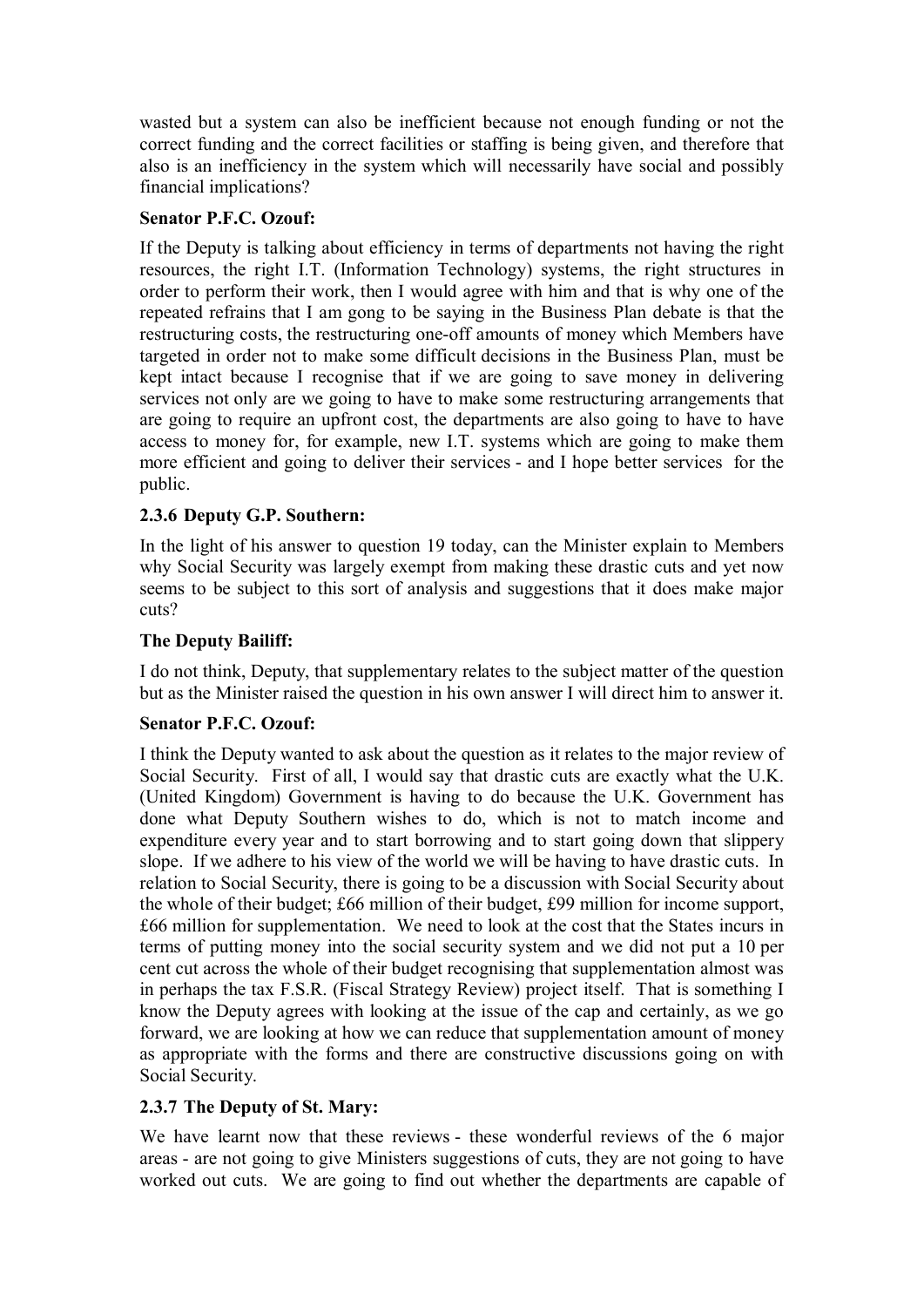wasted but a system can also be inefficient because not enough funding or not the correct funding and the correct facilities or staffing is being given, and therefore that also is an inefficiency in the system which will necessarily have social and possibly financial implications?

## **Senator P.F.C. Ozouf:**

If the Deputy is talking about efficiency in terms of departments not having the right resources, the right I.T. (Information Technology) systems, the right structures in order to perform their work, then I would agree with him and that is why one of the repeated refrains that I am gong to be saying in the Business Plan debate is that the restructuring costs, the restructuring one-off amounts of money which Members have targeted in order not to make some difficult decisions in the Business Plan, must be kept intact because I recognise that if we are going to save money in delivering services not only are we going to have to make some restructuring arrangements that are going to require an upfront cost, the departments are also going to have to have access to money for, for example, new I.T. systems which are going to make them more efficient and going to deliver their services - and I hope better services for the public.

# **2.3.6 Deputy G.P. Southern:**

In the light of his answer to question 19 today, can the Minister explain to Members why Social Security was largely exempt from making these drastic cuts and yet now seems to be subject to this sort of analysis and suggestions that it does make major cuts?

# **The Deputy Bailiff:**

I do not think, Deputy, that supplementary relates to the subject matter of the question but as the Minister raised the question in his own answer I will direct him to answer it.

## **Senator P.F.C. Ozouf:**

I think the Deputy wanted to ask about the question as it relates to the major review of Social Security. First of all, I would say that drastic cuts are exactly what the U.K. (United Kingdom) Government is having to do because the U.K. Government has done what Deputy Southern wishes to do, which is not to match income and expenditure every year and to start borrowing and to start going down that slippery slope. If we adhere to his view of the world we will be having to have drastic cuts. In relation to Social Security, there is going to be a discussion with Social Security about the whole of their budget; £66 million of their budget, £99 million for income support, £66 million for supplementation. We need to look at the cost that the States incurs in terms of putting money into the social security system and we did not put a 10 per cent cut across the whole of their budget recognising that supplementation almost was in perhaps the tax F.S.R. (Fiscal Strategy Review) project itself. That is something I know the Deputy agrees with looking at the issue of the cap and certainly, as we go forward, we are looking at how we can reduce that supplementation amount of money as appropriate with the forms and there are constructive discussions going on with Social Security.

## **2.3.7 The Deputy of St. Mary:**

We have learnt now that these reviews - these wonderful reviews of the 6 major areas - are not going to give Ministers suggestions of cuts, they are not going to have worked out cuts. We are going to find out whether the departments are capable of